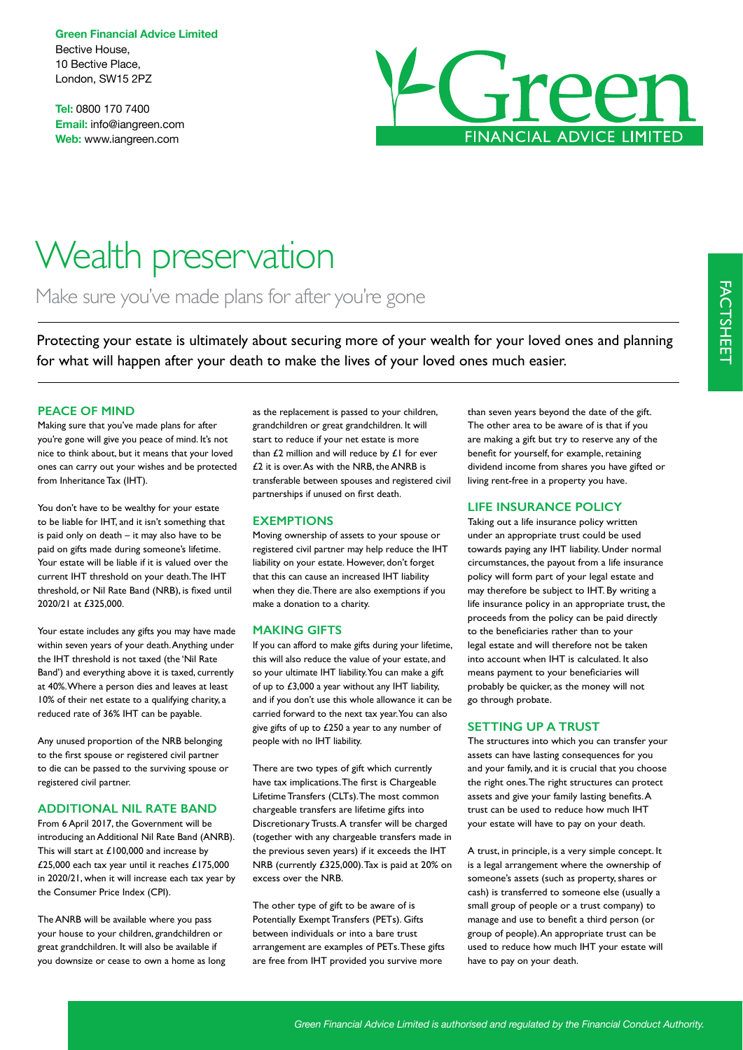**Green Financial Advice Limited** Bective House, 10 Bective Place, London, SW15 2PZ

**Tel:** 0800 170 7400 **Email:** info@iangreen.com **Web:** www.iangreen.com



# Wealth preservation

Make sure you've made plans for after you're gone

Protecting your estate is ultimately about securing more of your wealth for your loved ones and planning for what will happen after your death to make the lives of your loved ones much easier.

## **PEACE OF MIND**

Making sure that you've made plans for after you're gone will give you peace of mind. It's not nice to think about, but it means that your loved ones can carry out your wishes and be protected from Inheritance Tax (IHT).

You don't have to be wealthy for your estate to be liable for IHT, and it isn't something that is paid only on death – it may also have to be paid on gifts made during someone's lifetime. Your estate will be liable if it is valued over the current IHT threshold on your death. The IHT threshold, or Nil Rate Band (NRB), is fxed until 2020/21 at £325,000.

Your estate includes any gifts you may have made within seven years of your death. Anything under the IHT threshold is not taxed (the 'Nil Rate Band') and everything above it is taxed, currently at 40%. Where a person dies and leaves at least 10% of their net estate to a qualifying charity, a reduced rate of 36% IHT can be payable.

Any unused proportion of the NRB belonging to the frst spouse or registered civil partner to die can be passed to the surviving spouse or registered civil partner.

# **ADDITIONAL NIL RATE BAND**

From 6 April 2017, the Government will be introducing an Additional Nil Rate Band (ANRB). This will start at £100,000 and increase by £25,000 each tax year until it reaches £175,000 in 2020/21, when it will increase each tax year by the Consumer Price Index (CPI).

The ANRB will be available where you pass your house to your children, grandchildren or great grandchildren. It will also be available if you downsize or cease to own a home as long as the replacement is passed to your children, grandchildren or great grandchildren. It will start to reduce if your net estate is more than  $£2$  million and will reduce by  $£1$  for ever £2 it is over. As with the NRB, the ANRB is transferable between spouses and registered civil partnerships if unused on frst death.

## **EXEMPTIONS**

Moving ownership of assets to your spouse or registered civil partner may help reduce the IHT liability on your estate. However, don't forget that this can cause an increased IHT liability when they die. There are also exemptions if you make a donation to a charity.

#### **MAKING GIFTS**

If you can afford to make gifts during your lifetime, this will also reduce the value of your estate, and so your ultimate IHT liability. You can make a gift of up to £3,000 a year without any IHT liability, and if you don't use this whole allowance it can be carried forward to the next tax year. You can also give gifts of up to £250 a year to any number of people with no IHT liability.

There are two types of gift which currently have tax implications. The frst is Chargeable Lifetime Transfers (CLTs). The most common chargeable transfers are lifetime gifts into Discretionary Trusts. A transfer will be charged (together with any chargeable transfers made in the previous seven years) if it exceeds the IHT NRB (currently £325,000). Tax is paid at 20% on excess over the NRB.

The other type of gift to be aware of is Potentially Exempt Transfers (PETs). Gifts between individuals or into a bare trust arrangement are examples of PETs. These gifts are free from IHT provided you survive more

than seven years beyond the date of the gift. The other area to be aware of is that if you are making a gift but try to reserve any of the beneft for yourself, for example, retaining dividend income from shares you have gifted or living rent-free in a property you have.

#### **LIFE INSURANCE POLICY**

Taking out a life insurance policy written under an appropriate trust could be used towards paying any IHT liability. Under normal circumstances, the payout from a life insurance policy will form part of your legal estate and may therefore be subject to IHT. By writing a life insurance policy in an appropriate trust, the proceeds from the policy can be paid directly to the benefciaries rather than to your legal estate and will therefore not be taken into account when IHT is calculated. It also means payment to your benefciaries will probably be quicker, as the money will not go through probate.

#### **SETTING UP A TRUST**

The structures into which you can transfer your assets can have lasting consequences for you and your family, and it is crucial that you choose the right ones. The right structures can protect assets and give your family lasting benefts. A trust can be used to reduce how much IHT your estate will have to pay on your death.

A trust, in principle, is a very simple concept. It is a legal arrangement where the ownership of someone's assets (such as property, shares or cash) is transferred to someone else (usually a small group of people or a trust company) to manage and use to beneft a third person (or group of people). An appropriate trust can be used to reduce how much IHT your estate will have to pay on your death.